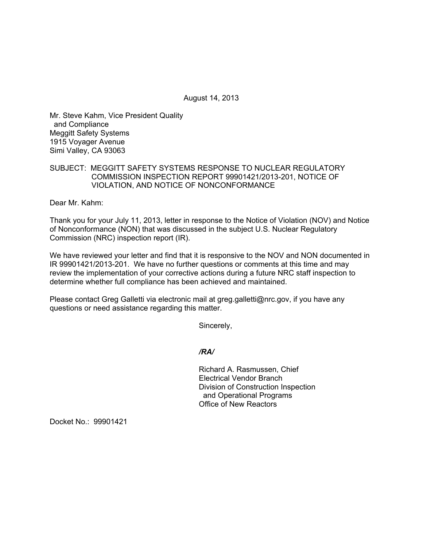August 14, 2013

Mr. Steve Kahm, Vice President Quality and Compliance Meggitt Safety Systems 1915 Voyager Avenue Simi Valley, CA 93063

## SUBJECT: MEGGITT SAFETY SYSTEMS RESPONSE TO NUCLEAR REGULATORY COMMISSION INSPECTION REPORT 99901421/2013-201, NOTICE OF VIOLATION, AND NOTICE OF NONCONFORMANCE

Dear Mr. Kahm:

Thank you for your July 11, 2013, letter in response to the Notice of Violation (NOV) and Notice of Nonconformance (NON) that was discussed in the subject U.S. Nuclear Regulatory Commission (NRC) inspection report (IR).

We have reviewed your letter and find that it is responsive to the NOV and NON documented in IR 99901421/2013-201. We have no further questions or comments at this time and may review the implementation of your corrective actions during a future NRC staff inspection to determine whether full compliance has been achieved and maintained.

Please contact Greg Galletti via electronic mail at greg.galletti@nrc.gov, if you have any questions or need assistance regarding this matter.

Sincerely,

*/RA/* 

Richard A. Rasmussen, Chief Electrical Vendor Branch Division of Construction Inspection and Operational Programs Office of New Reactors

Docket No.: 99901421